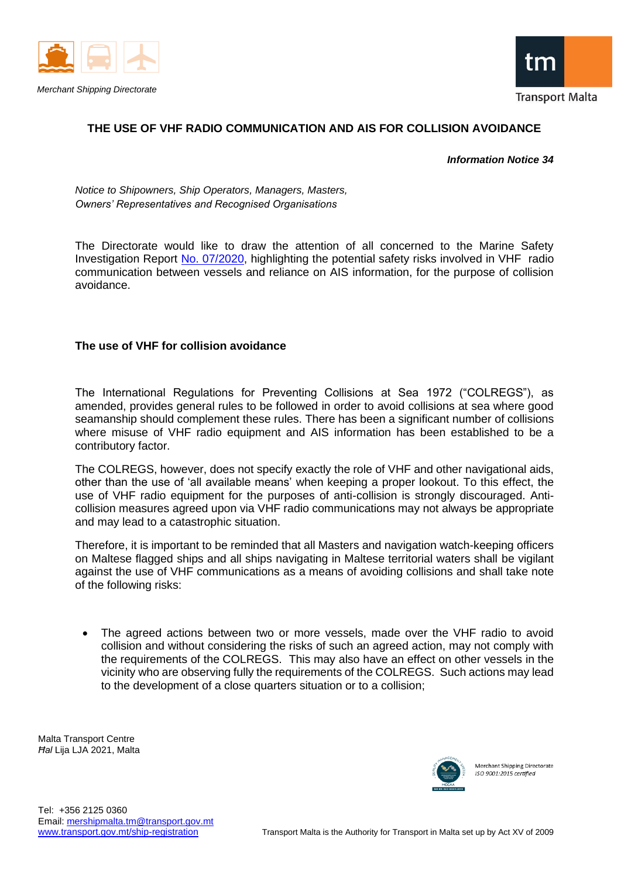



## **THE USE OF VHF RADIO COMMUNICATION AND AIS FOR COLLISION AVOIDANCE**

*Information Notice 34*

*Notice to Shipowners, Ship Operators, Managers, Masters, Owners' Representatives and Recognised Organisations*

The Directorate would like to draw the attention of all concerned to the Marine Safety Investigation Report [No. 07/2020,](https://www.transport.gov.mt/MT-Aseem_Final-Safety-Investigation-Report.pdf-f5062) highlighting the potential safety risks involved in VHF radio communication between vessels and reliance on AIS information, for the purpose of collision avoidance.

## **The use of VHF for collision avoidance**

The International Regulations for Preventing Collisions at Sea 1972 ("COLREGS"), as amended, provides general rules to be followed in order to avoid collisions at sea where good seamanship should complement these rules. There has been a significant number of collisions where misuse of VHF radio equipment and AIS information has been established to be a contributory factor.

The COLREGS, however, does not specify exactly the role of VHF and other navigational aids, other than the use of 'all available means' when keeping a proper lookout. To this effect, the use of VHF radio equipment for the purposes of anti-collision is strongly discouraged. Anticollision measures agreed upon via VHF radio communications may not always be appropriate and may lead to a catastrophic situation.

Therefore, it is important to be reminded that all Masters and navigation watch-keeping officers on Maltese flagged ships and all ships navigating in Maltese territorial waters shall be vigilant against the use of VHF communications as a means of avoiding collisions and shall take note of the following risks:

The agreed actions between two or more vessels, made over the VHF radio to avoid collision and without considering the risks of such an agreed action, may not comply with the requirements of the COLREGS. This may also have an effect on other vessels in the vicinity who are observing fully the requirements of the COLREGS. Such actions may lead to the development of a close quarters situation or to a collision;

Malta Transport Centre *Ħal* Lija LJA 2021, Malta



Merchant Shipping Directorate  $ISO$  9001:2015 certified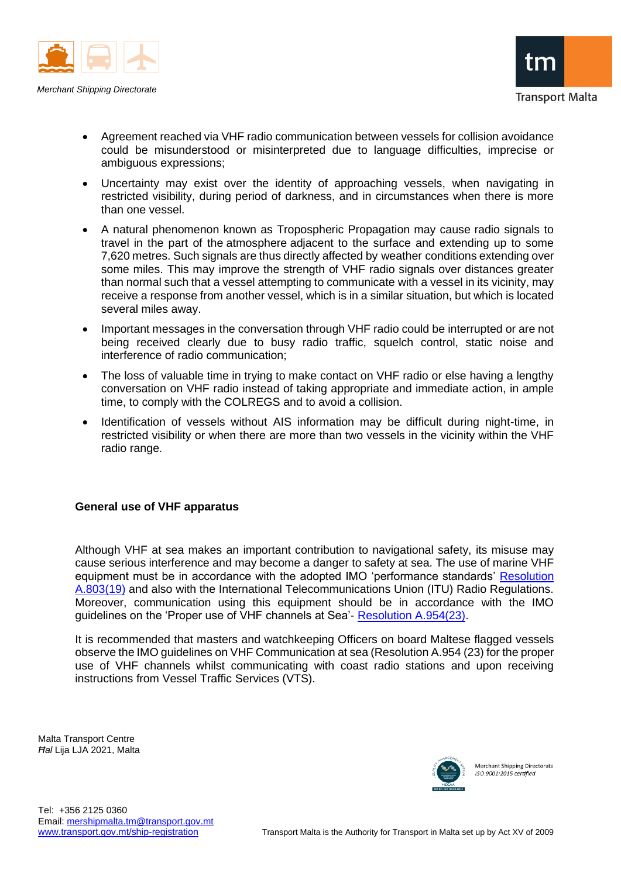

*Merchant Shipping Directorate*

- Agreement reached via VHF radio communication between vessels for collision avoidance could be misunderstood or misinterpreted due to language difficulties, imprecise or ambiguous expressions;
- Uncertainty may exist over the identity of approaching vessels, when navigating in restricted visibility, during period of darkness, and in circumstances when there is more than one vessel.
- A natural phenomenon known as Tropospheric Propagation may cause radio signals to travel in the part of the atmosphere adjacent to the surface and extending up to some 7,620 metres. Such signals are thus directly affected by weather conditions extending over some miles. This may improve the strength of VHF radio signals over distances greater than normal such that a vessel attempting to communicate with a vessel in its vicinity, may receive a response from another vessel, which is in a similar situation, but which is located several miles away.
- Important messages in the conversation through VHF radio could be interrupted or are not being received clearly due to busy radio traffic, squelch control, static noise and interference of radio communication;
- The loss of valuable time in trying to make contact on VHF radio or else having a lengthy conversation on VHF radio instead of taking appropriate and immediate action, in ample time, to comply with the COLREGS and to avoid a collision.
- Identification of vessels without AIS information may be difficult during night-time, in restricted visibility or when there are more than two vessels in the vicinity within the VHF radio range.

## **General use of VHF apparatus**

Although VHF at sea makes an important contribution to navigational safety, its misuse may cause serious interference and may become a danger to safety at sea. The use of marine VHF equipment must be in accordance with the adopted IMO 'performance standards' [Resolution](https://www.transport.gov.mt/A-803-19.pdf-f5060)  [A.803\(19\)](https://www.transport.gov.mt/A-803-19.pdf-f5060) and also with the International Telecommunications Union (ITU) Radio Regulations. Moreover, communication using this equipment should be in accordance with the IMO guidelines on the 'Proper use of VHF channels at Sea'- [Resolution A.954\(23\).](https://www.transport.gov.mt/A-23-Res-954-Proper-Use-Of-Vhf-Channels-At-Sea.pdf-f5061)

It is recommended that masters and watchkeeping Officers on board Maltese flagged vessels observe the IMO guidelines on VHF Communication at sea (Resolution A.954 (23) for the proper use of VHF channels whilst communicating with coast radio stations and upon receiving instructions from Vessel Traffic Services (VTS).

Malta Transport Centre *Ħal* Lija LJA 2021, Malta



Merchant Shipping Directorate  $ISO$  9001:2015 certified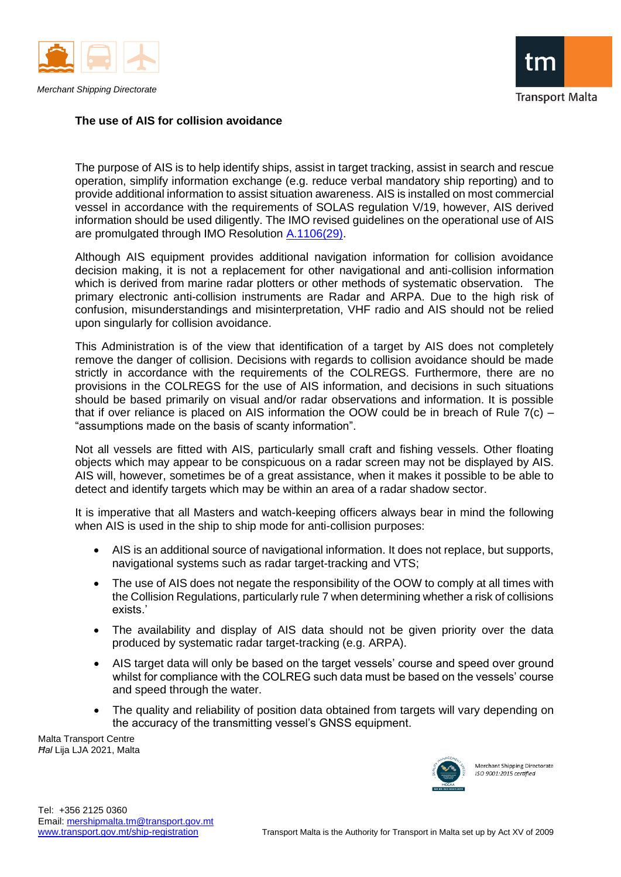

## **The use of AIS for collision avoidance**

The purpose of AIS is to help identify ships, assist in target tracking, assist in search and rescue operation, simplify information exchange (e.g. reduce verbal mandatory ship reporting) and to provide additional information to assist situation awareness. AIS is installed on most commercial vessel in accordance with the requirements of SOLAS regulation V/19, however, AIS derived information should be used diligently. The IMO revised guidelines on the operational use of AIS are promulgated through IMO Resolution [A.1106\(29\).](https://www.transport.gov.mt/A-1106-29.pdf-f5059)

Although AIS equipment provides additional navigation information for collision avoidance decision making, it is not a replacement for other navigational and anti-collision information which is derived from marine radar plotters or other methods of systematic observation. The primary electronic anti-collision instruments are Radar and ARPA. Due to the high risk of confusion, misunderstandings and misinterpretation, VHF radio and AIS should not be relied upon singularly for collision avoidance.

This Administration is of the view that identification of a target by AIS does not completely remove the danger of collision. Decisions with regards to collision avoidance should be made strictly in accordance with the requirements of the COLREGS. Furthermore, there are no provisions in the COLREGS for the use of AIS information, and decisions in such situations should be based primarily on visual and/or radar observations and information. It is possible that if over reliance is placed on AIS information the OOW could be in breach of Rule  $7(c)$  – "assumptions made on the basis of scanty information".

Not all vessels are fitted with AIS, particularly small craft and fishing vessels. Other floating objects which may appear to be conspicuous on a radar screen may not be displayed by AIS. AIS will, however, sometimes be of a great assistance, when it makes it possible to be able to detect and identify targets which may be within an area of a radar shadow sector.

It is imperative that all Masters and watch-keeping officers always bear in mind the following when AIS is used in the ship to ship mode for anti-collision purposes:

- AIS is an additional source of navigational information. It does not replace, but supports, navigational systems such as radar target-tracking and VTS;
- The use of AIS does not negate the responsibility of the OOW to comply at all times with the Collision Regulations, particularly rule 7 when determining whether a risk of collisions exists.'
- The availability and display of AIS data should not be given priority over the data produced by systematic radar target-tracking (e.g. ARPA).
- AIS target data will only be based on the target vessels' course and speed over ground whilst for compliance with the COLREG such data must be based on the vessels' course and speed through the water.
- The quality and reliability of position data obtained from targets will vary depending on the accuracy of the transmitting vessel's GNSS equipment.

Malta Transport Centre *Ħal* Lija LJA 2021, Malta



Merchant Shipping Directorate ISO 9001:2015 certified